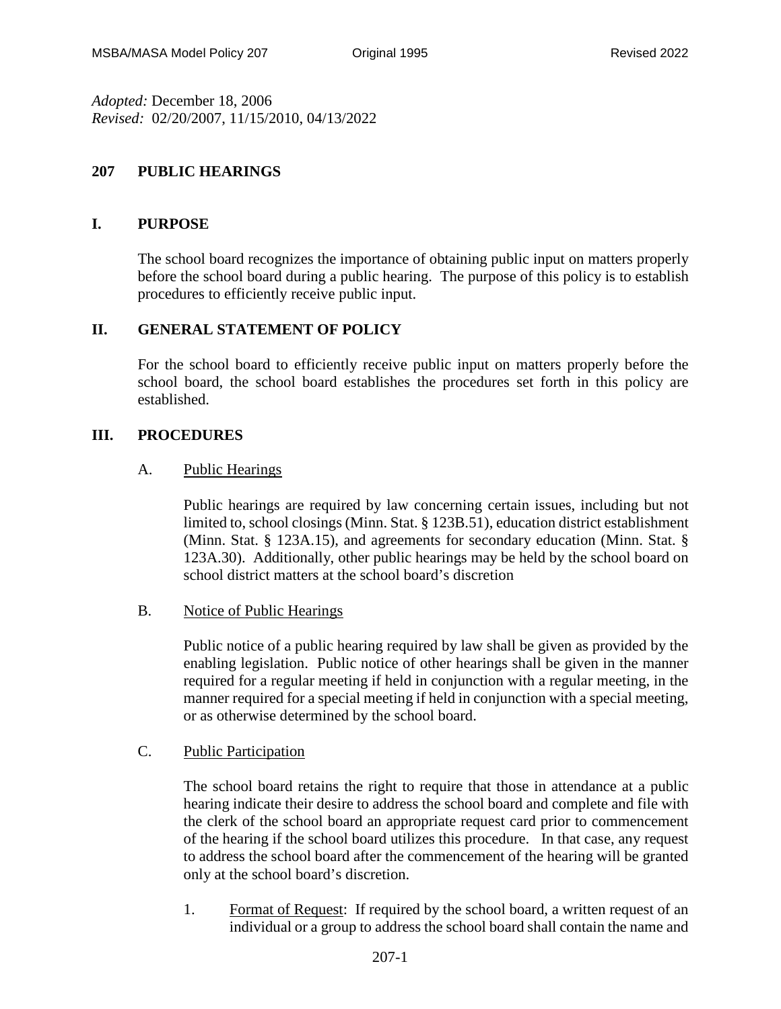*Adopted:* December 18, 2006 *Revised:* 02/20/2007, 11/15/2010, 04/13/2022

# **207 PUBLIC HEARINGS**

### **I. PURPOSE**

The school board recognizes the importance of obtaining public input on matters properly before the school board during a public hearing. The purpose of this policy is to establish procedures to efficiently receive public input.

# **II. GENERAL STATEMENT OF POLICY**

For the school board to efficiently receive public input on matters properly before the school board, the school board establishes the procedures set forth in this policy are established.

# **III. PROCEDURES**

#### A. Public Hearings

Public hearings are required by law concerning certain issues, including but not limited to, school closings (Minn. Stat. § 123B.51), education district establishment (Minn. Stat. § 123A.15), and agreements for secondary education (Minn. Stat. § 123A.30). Additionally, other public hearings may be held by the school board on school district matters at the school board's discretion

#### B. Notice of Public Hearings

Public notice of a public hearing required by law shall be given as provided by the enabling legislation. Public notice of other hearings shall be given in the manner required for a regular meeting if held in conjunction with a regular meeting, in the manner required for a special meeting if held in conjunction with a special meeting, or as otherwise determined by the school board.

#### C. Public Participation

The school board retains the right to require that those in attendance at a public hearing indicate their desire to address the school board and complete and file with the clerk of the school board an appropriate request card prior to commencement of the hearing if the school board utilizes this procedure. In that case, any request to address the school board after the commencement of the hearing will be granted only at the school board's discretion.

1. Format of Request: If required by the school board, a written request of an individual or a group to address the school board shall contain the name and